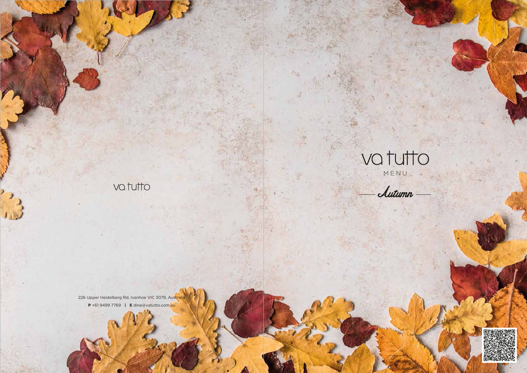# vatutto

i Citali

226 Upper Heidelberg Rd, Ivanhoe VIC 3079, Australia  $P + 6194997769$  | Edine@vatutto.com.au